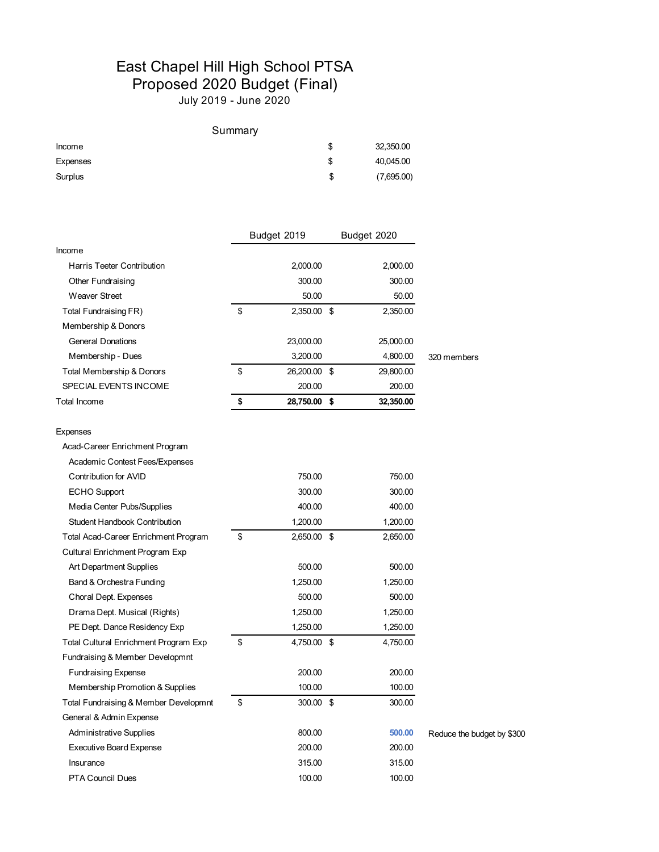## East Chapel Hill High School PTSA Proposed 2020 Budget (Final)

July 2019 - June 2020

|          | Summary |            |
|----------|---------|------------|
| Income   | \$      | 32,350.00  |
| Expenses | S       | 40,045.00  |
| Surplus  | S       | (7,695.00) |

|                                       | Budget 2019 |              | Budget 2020 |           |                            |
|---------------------------------------|-------------|--------------|-------------|-----------|----------------------------|
| Income                                |             |              |             |           |                            |
| Harris Teeter Contribution            |             | 2,000.00     |             | 2,000.00  |                            |
| Other Fundraising                     |             | 300.00       |             | 300.00    |                            |
| <b>Weaver Street</b>                  |             | 50.00        |             | 50.00     |                            |
| Total Fundraising FR)                 | \$          | 2,350.00 \$  |             | 2,350.00  |                            |
| Membership & Donors                   |             |              |             |           |                            |
| <b>General Donations</b>              |             | 23,000.00    |             | 25,000.00 |                            |
| Membership - Dues                     |             | 3,200.00     |             | 4,800.00  | 320 members                |
| Total Membership & Donors             | \$          | 26,200.00 \$ |             | 29,800.00 |                            |
| SPECIAL EVENTS INCOME                 |             | 200.00       |             | 200.00    |                            |
| Total Income                          | \$          | 28,750.00 \$ |             | 32,350.00 |                            |
| Expenses                              |             |              |             |           |                            |
| Acad-Career Enrichment Program        |             |              |             |           |                            |
| Academic Contest Fees/Expenses        |             |              |             |           |                            |
| Contribution for AVID                 |             | 750.00       |             | 750.00    |                            |
| <b>ECHO</b> Support                   |             | 300.00       |             | 300.00    |                            |
| Media Center Pubs/Supplies            |             | 400.00       |             | 400.00    |                            |
| <b>Student Handbook Contribution</b>  |             | 1,200.00     |             | 1,200.00  |                            |
| Total Acad-Career Enrichment Program  | \$          | 2,650.00 \$  |             | 2,650.00  |                            |
| Cultural Enrichment Program Exp       |             |              |             |           |                            |
| Art Department Supplies               |             | 500.00       |             | 500.00    |                            |
| Band & Orchestra Funding              |             | 1,250.00     |             | 1,250.00  |                            |
| Choral Dept. Expenses                 |             | 500.00       |             | 500.00    |                            |
| Drama Dept. Musical (Rights)          |             | 1,250.00     |             | 1,250.00  |                            |
| PE Dept. Dance Residency Exp          |             | 1,250.00     |             | 1,250.00  |                            |
| Total Cultural Enrichment Program Exp | \$          | 4,750.00 \$  |             | 4,750.00  |                            |
| Fundraising & Member Developmnt       |             |              |             |           |                            |
| <b>Fundraising Expense</b>            |             | 200.00       |             | 200.00    |                            |
| Membership Promotion & Supplies       |             | 100.00       |             | 100.00    |                            |
| Total Fundraising & Member Developmnt | \$          | 300.00 \$    |             | 300.00    |                            |
| General & Admin Expense               |             |              |             |           |                            |
| Administrative Supplies               |             | 800.00       |             | 500.00    | Reduce the budget by \$300 |
| <b>Executive Board Expense</b>        |             | 200.00       |             | 200.00    |                            |
| Insurance                             |             | 315.00       |             | 315.00    |                            |
| <b>PTA Council Dues</b>               |             | 100.00       |             | 100.00    |                            |
|                                       |             |              |             |           |                            |